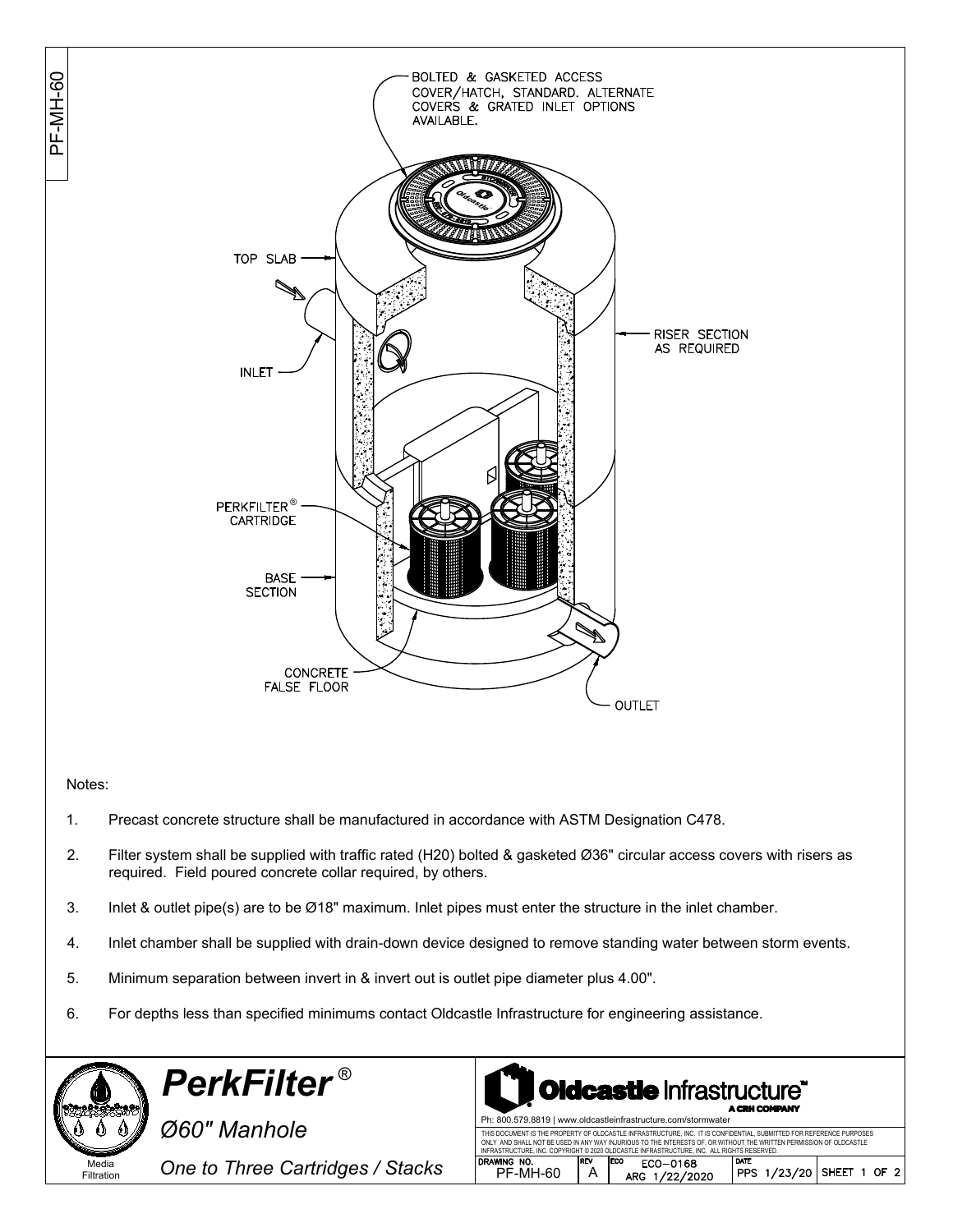